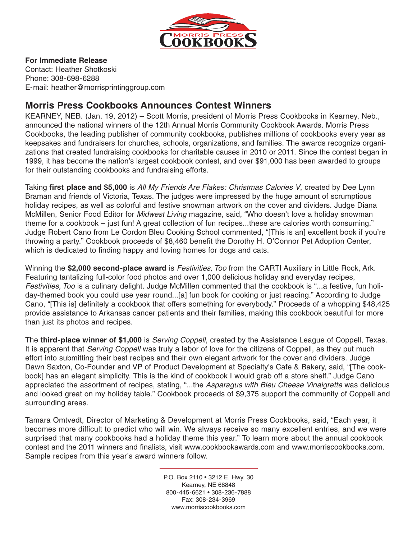

## **For Immediate Release**

Contact: Heather Shotkoski Phone: 308-698-6288 E-mail: heather@morrisprintinggroup.com

## **Morris Press Cookbooks Announces Contest Winners**

KEARNEY, NEB. (Jan. 19, 2012) – Scott Morris, president of Morris Press Cookbooks in Kearney, Neb., announced the national winners of the 12th Annual Morris Community Cookbook Awards. Morris Press Cookbooks, the leading publisher of community cookbooks, publishes millions of cookbooks every year as keepsakes and fundraisers for churches, schools, organizations, and families. The awards recognize organizations that created fundraising cookbooks for charitable causes in 2010 or 2011. Since the contest began in 1999, it has become the nation's largest cookbook contest, and over \$91,000 has been awarded to groups for their outstanding cookbooks and fundraising efforts.

Taking **first place and \$5,000** is *All My Friends Are Flakes: Christmas Calories V*, created by Dee Lynn Braman and friends of Victoria, Texas. The judges were impressed by the huge amount of scrumptious holiday recipes, as well as colorful and festive snowman artwork on the cover and dividers. Judge Diana McMillen, Senior Food Editor for *Midwest Living* magazine, said, "Who doesn't love a holiday snowman theme for a cookbook – just fun! A great collection of fun recipes...these are calories worth consuming." Judge Robert Cano from Le Cordon Bleu Cooking School commented, "[This is an] excellent book if you're throwing a party." Cookbook proceeds of \$8,460 benefit the Dorothy H. O'Connor Pet Adoption Center, which is dedicated to finding happy and loving homes for dogs and cats.

Winning the **\$2,000 second-place award** is *Festivities, Too* from the CARTI Auxiliary in Little Rock, Ark. Featuring tantalizing full-color food photos and over 1,000 delicious holiday and everyday recipes, *Festivities, Too* is a culinary delight. Judge McMillen commented that the cookbook is "...a festive, fun holiday-themed book you could use year round...[a] fun book for cooking or just reading." According to Judge Cano, "[This is] definitely a cookbook that offers something for everybody." Proceeds of a whopping \$48,425 provide assistance to Arkansas cancer patients and their families, making this cookbook beautiful for more than just its photos and recipes.

The **third-place winner of \$1,000** is *Serving Coppell*, created by the Assistance League of Coppell, Texas. It is apparent that *Serving Coppell* was truly a labor of love for the citizens of Coppell, as they put much effort into submitting their best recipes and their own elegant artwork for the cover and dividers. Judge Dawn Saxton, Co-Founder and VP of Product Development at Specialty's Cafe & Bakery, said, "[The cookbook] has an elegant simplicity. This is the kind of cookbook I would grab off a store shelf." Judge Cano appreciated the assortment of recipes, stating, "...the *Asparagus with Bleu Cheese Vinaigrette* was delicious and looked great on my holiday table." Cookbook proceeds of \$9,375 support the community of Coppell and surrounding areas.

Tamara Omtvedt, Director of Marketing & Development at Morris Press Cookbooks, said, "Each year, it becomes more difficult to predict who will win. We always receive so many excellent entries, and we were surprised that many cookbooks had a holiday theme this year." To learn more about the annual cookbook contest and the 2011 winners and finalists, visit www.cookbookawards.com and www.morriscookbooks.com. Sample recipes from this year's award winners follow.

> P.O. Box 2110 • 3212 E. Hwy. 30 Kearney, NE 68848 800-445-6621 • 308-236-7888 Fax: 308-234-3969 www.morriscookbooks.com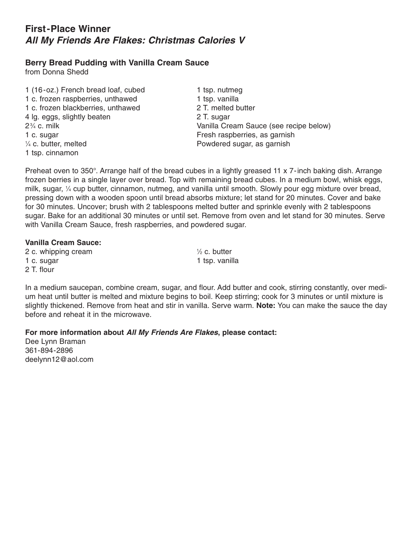# **First-Place Winner** *All My Friends Are Flakes: Christmas Calories V*

## **Berry Bread Pudding with Vanilla Cream Sauce**

from Donna Shedd

1 (16-oz.) French bread loaf, cubed 1 tsp. nutmeg 1 c. frozen raspberries, unthawed 1 tsp. vanilla 1 c. frozen blackberries, unthawed 2 T. melted butter 4 lg. eggs, slightly beaten 2 T. sugar  $2\frac{3}{4}$  c. milk 1 c. sugar **Fresh raspberries**, as garnish  $\frac{1}{4}$  c. butter, melted 1 tsp. cinnamon

Vanilla Cream Sauce (see recipe below) Powdered sugar, as garnish

Preheat oven to 350°. Arrange half of the bread cubes in a lightly greased 11 x 7-inch baking dish. Arrange frozen berries in a single layer over bread. Top with remaining bread cubes. In a medium bowl, whisk eggs, milk, sugar, <sup>1</sup> ⁄4 cup butter, cinnamon, nutmeg, and vanilla until smooth. Slowly pour egg mixture over bread, pressing down with a wooden spoon until bread absorbs mixture; let stand for 20 minutes. Cover and bake for 30 minutes. Uncover; brush with 2 tablespoons melted butter and sprinkle evenly with 2 tablespoons sugar. Bake for an additional 30 minutes or until set. Remove from oven and let stand for 30 minutes. Serve with Vanilla Cream Sauce, fresh raspberries, and powdered sugar.

#### **Vanilla Cream Sauce:**

2 c. whipping cream <sup>1</sup> 1 c. sugar 1 tsp. vanilla 2 T. flour

 $\frac{1}{2}$  c. butter

In a medium saucepan, combine cream, sugar, and flour. Add butter and cook, stirring constantly, over medium heat until butter is melted and mixture begins to boil. Keep stirring; cook for 3 minutes or until mixture is slightly thickened. Remove from heat and stir in vanilla. Serve warm. **Note:** You can make the sauce the day before and reheat it in the microwave.

**For more information about** *All My Friends Are Flakes***, please contact:**

Dee Lynn Braman 361-894-2896 deelynn12@aol.com